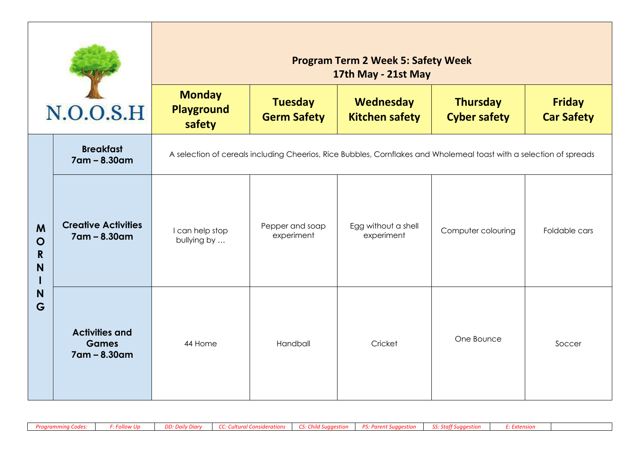|                                                 |                                                       | <b>Program Term 2 Week 5: Safety Week</b><br>17th May - 21st May |                                                                            |                                   |                                                                                                                     |                                    |  |  |  |
|-------------------------------------------------|-------------------------------------------------------|------------------------------------------------------------------|----------------------------------------------------------------------------|-----------------------------------|---------------------------------------------------------------------------------------------------------------------|------------------------------------|--|--|--|
|                                                 | N.O.O.S.H                                             | <b>Monday</b><br><b>Playground</b><br>safety                     | <b>Tuesday</b><br>Wednesday<br><b>Germ Safety</b><br><b>Kitchen safety</b> |                                   | <b>Thursday</b><br><b>Cyber safety</b>                                                                              | <b>Friday</b><br><b>Car Safety</b> |  |  |  |
|                                                 | <b>Breakfast</b><br>7am - 8.30am                      |                                                                  |                                                                            |                                   | A selection of cereals including Cheerios, Rice Bubbles, Cornflakes and Wholemeal toast with a selection of spreads |                                    |  |  |  |
| M<br>$\mathbf O$<br>$\mathsf{R}$<br>N<br>N<br>G | <b>Creative Activities</b><br>7am - 8.30am            | I can help stop<br>bullying by                                   | Pepper and soap<br>experiment                                              | Egg without a shell<br>experiment | Computer colouring                                                                                                  | Foldable cars                      |  |  |  |
|                                                 | <b>Activities and</b><br><b>Games</b><br>7am - 8.30am | 44 Home                                                          | Handball                                                                   | Cricket                           | One Bounce                                                                                                          | Soccer                             |  |  |  |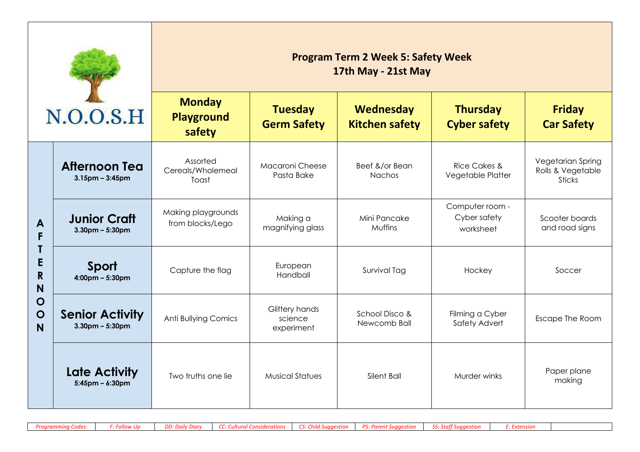|                                                                     |                                                 | <b>Program Term 2 Week 5: Safety Week</b><br>17th May - 21st May                     |                                         |                                           |                                              |                                                         |  |  |  |
|---------------------------------------------------------------------|-------------------------------------------------|--------------------------------------------------------------------------------------|-----------------------------------------|-------------------------------------------|----------------------------------------------|---------------------------------------------------------|--|--|--|
|                                                                     | N.O.O.S.H                                       | <b>Monday</b><br><b>Tuesday</b><br><b>Playground</b><br><b>Germ Safety</b><br>safety |                                         | <b>Wednesday</b><br><b>Kitchen safety</b> | <b>Thursday</b><br><b>Cyber safety</b>       | <b>Friday</b><br><b>Car Safety</b>                      |  |  |  |
|                                                                     | <b>Afternoon Tea</b><br>$3.15$ pm – $3:45$ pm   | Assorted<br>Cereals/Wholemeal<br>Toast                                               | Macaroni Cheese<br>Pasta Bake           | Beef &/or Bean<br>Nachos                  | <b>Rice Cakes &amp;</b><br>Vegetable Platter | Vegetarian Spring<br>Rolls & Vegetable<br><b>Sticks</b> |  |  |  |
| A<br>F<br>E<br>$\mathsf{R}$<br>N<br>$\mathbf O$<br>$\mathbf O$<br>N | <b>Junior Craft</b><br>$3.30$ pm – $5:30$ pm    | Making playgrounds<br>from blocks/Lego                                               | Making a<br>magnifying glass            | Mini Pancake<br>Muffins                   | Computer room -<br>Cyber safety<br>worksheet | Scooter boards<br>and road signs                        |  |  |  |
|                                                                     | Sport<br>$4:00 \text{pm} - 5:30 \text{pm}$      | Capture the flag                                                                     | European<br>Handball                    | Survival Tag                              | Hockey                                       | Soccer                                                  |  |  |  |
|                                                                     | <b>Senior Activity</b><br>$3.30$ pm – $5:30$ pm | <b>Anti Bullying Comics</b>                                                          | Glittery hands<br>science<br>experiment | School Disco &<br>Newcomb Ball            | Filming a Cyber<br>Safety Advert             | Escape The Room                                         |  |  |  |
|                                                                     | Late Activity<br>$5:45$ pm – 6:30pm             | Two truths one lie                                                                   | <b>Musical Statues</b>                  | Silent Ball                               | Murder winks                                 | Paper plane<br>making                                   |  |  |  |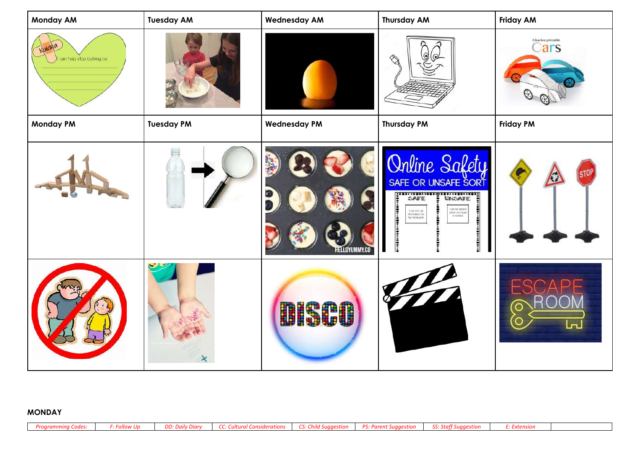| <b>Monday AM</b>           | <b>Tuesday AM</b> | <b>Wednesday AM</b> | <b>Thursday AM</b>                                                                                                                                                                                                                                                        | <b>Friday AM</b>           |
|----------------------------|-------------------|---------------------|---------------------------------------------------------------------------------------------------------------------------------------------------------------------------------------------------------------------------------------------------------------------------|----------------------------|
| I can help stop bulying by |                   |                     | $\odot$                                                                                                                                                                                                                                                                   | Glue-lee printable<br>Cars |
| <b>Monday PM</b>           | <b>Tuesday PM</b> | <b>Wednesday PM</b> | <b>Thursday PM</b>                                                                                                                                                                                                                                                        | <b>Friday PM</b>           |
|                            |                   | ELLOYUMMY.CO        | Online Safety<br>SAFE OR UNSAFE SORT<br><b>EXAMPLE : SAFE :</b> UNSAFE :<br><br>can tall pacple<br>where my howe<br>in loosted.<br>$\begin{array}{c} \text{I can look up} \\ \text{if commutior for} \\ \text{in 'nonwork}, \end{array}$<br><br>$\ddot{\ddot{\cdot}}$<br> |                            |
|                            | $\star$           | <b>BISCO</b>        | $\overline{\phantom{a}}$                                                                                                                                                                                                                                                  |                            |

## **MONDAY**

| Proarammina Codes: | DD: Daily Diary | CC: Cultural Considerations | CS: Child Suagestion | <b>PS: Parent Suggestion</b> | SS: Staff Suaaestion |  |
|--------------------|-----------------|-----------------------------|----------------------|------------------------------|----------------------|--|
|                    |                 |                             |                      |                              |                      |  |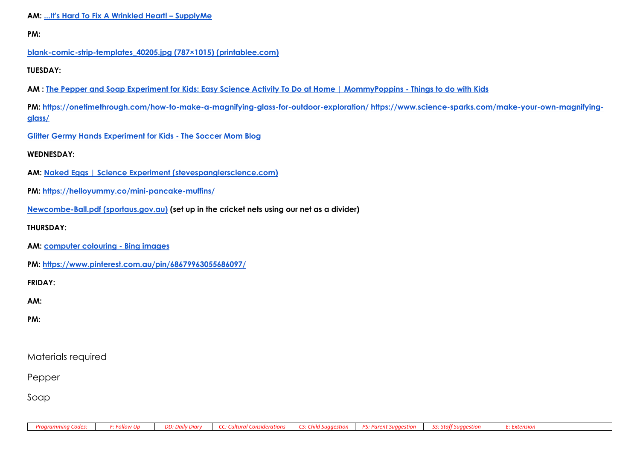```
PM:
```
### **blank-comic-strip-templates\_40205.jpg (787×1015) (printablee.com)**

**TUESDAY:**

**AM : The Pepper and Soap Experiment for Kids: Easy Science Activity To Do at Home | MommyPoppins - Things to do with Kids**

**PM: https://onetimethrough.com/how-to-make-a-magnifying-glass-for-outdoor-exploration/ https://www.science-sparks.com/make-your-own-magnifyingglass/**

**Glitter Germy Hands Experiment for Kids - The Soccer Mom Blog**

### **WEDNESDAY:**

- **AM: Naked Eggs | Science Experiment (stevespanglerscience.com)**
- **PM: https://helloyummy.co/mini-pancake-muffins/**
- **Newcombe-Ball.pdf (sportaus.gov.au) (set up in the cricket nets using our net as a divider)**

#### **THURSDAY:**

- **AM: computer colouring - Bing images**
- **PM: https://www.pinterest.com.au/pin/68679963055686097/**

**FRIDAY:**

**AM:** 

**PM:** 

# Materials required

Pepper

Soap

|  |  |  | Programming Codes:   F: Follow Up   DD: Daily Diary   CC: Cultural Considerations   CS: Child Suggestion   PS: Parent Suggestion   SS: Staff Suggestion   E: Extension |  |  |  |  |  |
|--|--|--|------------------------------------------------------------------------------------------------------------------------------------------------------------------------|--|--|--|--|--|
|--|--|--|------------------------------------------------------------------------------------------------------------------------------------------------------------------------|--|--|--|--|--|